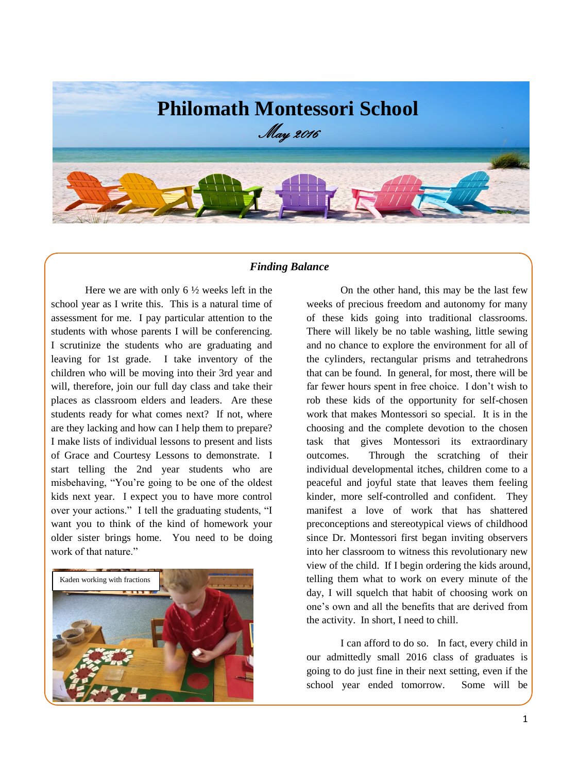

### *Finding Balance*

Here we are with only  $6\frac{1}{2}$  weeks left in the school year as I write this. This is a natural time of assessment for me. I pay particular attention to the students with whose parents I will be conferencing. I scrutinize the students who are graduating and leaving for 1st grade. I take inventory of the children who will be moving into their 3rd year and will, therefore, join our full day class and take their places as classroom elders and leaders. Are these students ready for what comes next? If not, where are they lacking and how can I help them to prepare? I make lists of individual lessons to present and lists of Grace and Courtesy Lessons to demonstrate. I start telling the 2nd year students who are misbehaving, "You're going to be one of the oldest kids next year. I expect you to have more control over your actions." I tell the graduating students, "I want you to think of the kind of homework your older sister brings home. You need to be doing work of that nature."



On the other hand, this may be the last few weeks of precious freedom and autonomy for many of these kids going into traditional classrooms. There will likely be no table washing, little sewing and no chance to explore the environment for all of the cylinders, rectangular prisms and tetrahedrons that can be found. In general, for most, there will be far fewer hours spent in free choice. I don't wish to rob these kids of the opportunity for self-chosen work that makes Montessori so special. It is in the choosing and the complete devotion to the chosen task that gives Montessori its extraordinary outcomes. Through the scratching of their individual developmental itches, children come to a peaceful and joyful state that leaves them feeling kinder, more self-controlled and confident. They manifest a love of work that has shattered preconceptions and stereotypical views of childhood since Dr. Montessori first began inviting observers into her classroom to witness this revolutionary new view of the child. If I begin ordering the kids around, telling them what to work on every minute of the day, I will squelch that habit of choosing work on one's own and all the benefits that are derived from the activity. In short, I need to chill.

I can afford to do so. In fact, every child in our admittedly small 2016 class of graduates is going to do just fine in their next setting, even if the school year ended tomorrow. Some will be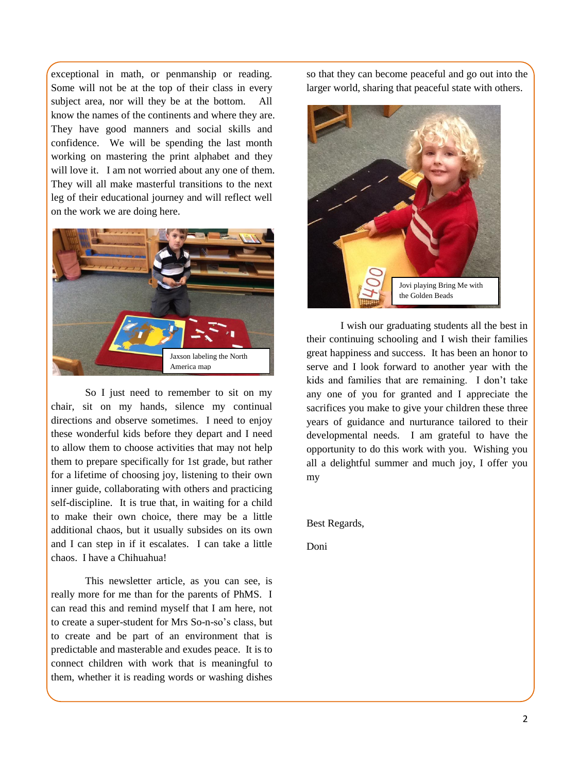exceptional in math, or penmanship or reading. Some will not be at the top of their class in every subject area, nor will they be at the bottom. All know the names of the continents and where they are. They have good manners and social skills and confidence. We will be spending the last month working on mastering the print alphabet and they will love it. I am not worried about any one of them. They will all make masterful transitions to the next leg of their educational journey and will reflect well on the work we are doing here.



So I just need to remember to sit on my chair, sit on my hands, silence my continual directions and observe sometimes. I need to enjoy these wonderful kids before they depart and I need to allow them to choose activities that may not help them to prepare specifically for 1st grade, but rather for a lifetime of choosing joy, listening to their own inner guide, collaborating with others and practicing self-discipline. It is true that, in waiting for a child to make their own choice, there may be a little additional chaos, but it usually subsides on its own and I can step in if it escalates. I can take a little chaos. I have a Chihuahua!

This newsletter article, as you can see, is really more for me than for the parents of PhMS. I can read this and remind myself that I am here, not to create a super-student for Mrs So-n-so's class, but to create and be part of an environment that is predictable and masterable and exudes peace. It is to connect children with work that is meaningful to them, whether it is reading words or washing dishes

so that they can become peaceful and go out into the larger world, sharing that peaceful state with others.



I wish our graduating students all the best in their continuing schooling and I wish their families great happiness and success. It has been an honor to serve and I look forward to another year with the kids and families that are remaining. I don't take any one of you for granted and I appreciate the sacrifices you make to give your children these three years of guidance and nurturance tailored to their developmental needs. I am grateful to have the opportunity to do this work with you. Wishing you all a delightful summer and much joy, I offer you my

Best Regards,

Doni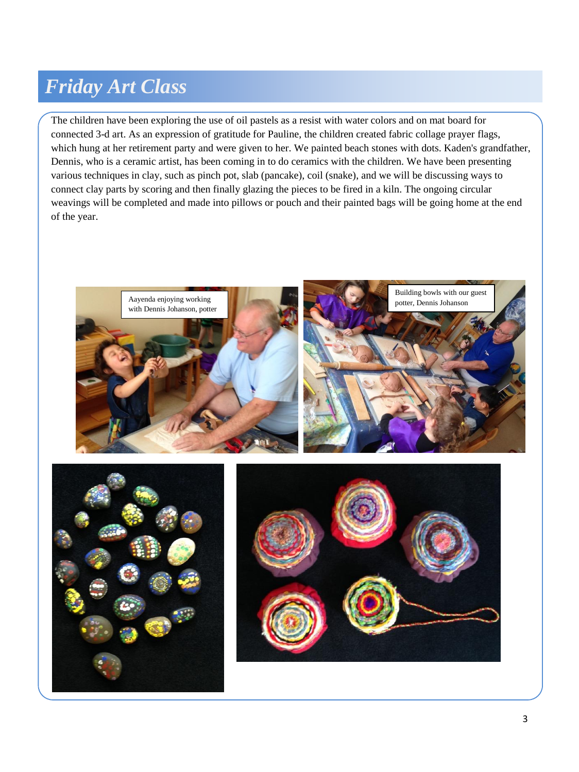# *Friday Art Class*

The children have been exploring the use of oil pastels as a resist with water colors and on mat board for connected 3-d art. As an expression of gratitude for Pauline, the children created fabric collage prayer flags, which hung at her retirement party and were given to her. We painted beach stones with dots. Kaden's grandfather, Dennis, who is a ceramic artist, has been coming in to do ceramics with the children. We have been presenting various techniques in clay, such as pinch pot, slab (pancake), coil (snake), and we will be discussing ways to connect clay parts by scoring and then finally glazing the pieces to be fired in a kiln. The ongoing circular weavings will be completed and made into pillows or pouch and their painted bags will be going home at the end of the year.